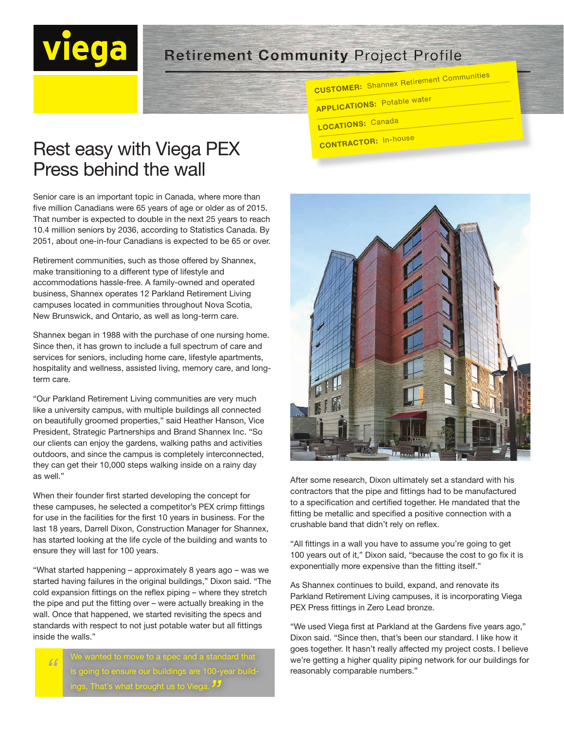## **Retirement Community Project Profile**

CUSTOMER: Shannex Retirement Communities

- **APPLICATIONS: Potable water**
- **LOCATIONS: Canada**
- CONTRACTOR: In-house



After some research, Dixon ultimately set a standard with his contractors that the pipe and fittings had to be manufactured to a specification and certified together. He mandated that the fitting be metallic and specified a positive connection with a crushable band that didn't rely on reflex.

"All fittings in a wall you have to assume you're going to get 100 years out of it," Dixon said, "because the cost to go fix it is exponentially more expensive than the fitting itself."

As Shannex continues to build, expand, and renovate its Parkland Retirement Living campuses, it is incorporating Viega PEX Press fittings in Zero Lead bronze.

"We used Viega first at Parkland at the Gardens five years ago," Dixon said. "Since then, that's been our standard. I like how it goes together. It hasn't really affected my project costs. I believe we're getting a higher quality piping network for our buildings for reasonably comparable numbers."

## Rest easy with Viega PEX Press behind the wall

Senior care is an important topic in Canada, where more than five million Canadians were 65 years of age or older as of 2015. That number is expected to double in the next 25 years to reach 10.4 million seniors by 2036, according to Statistics Canada. By 2051, about one-in-four Canadians is expected to be 65 or over.

Retirement communities, such as those offered by Shannex, make transitioning to a different type of lifestyle and accommodations hassle-free. A family-owned and operated business, Shannex operates 12 Parkland Retirement Living campuses located in communities throughout Nova Scotia, New Brunswick, and Ontario, as well as long-term care.

Shannex began in 1988 with the purchase of one nursing home. Since then, it has grown to include a full spectrum of care and services for seniors, including home care, lifestyle apartments, hospitality and wellness, assisted living, memory care, and longterm care.

"Our Parkland Retirement Living communities are very much like a university campus, with multiple buildings all connected on beautifully groomed properties," said Heather Hanson, Vice President, Strategic Partnerships and Brand Shannex Inc. "So our clients can enjoy the gardens, walking paths and activities outdoors, and since the campus is completely interconnected, they can get their 10,000 steps walking inside on a rainy day as well."

When their founder first started developing the concept for these campuses, he selected a competitor's PEX crimp fittings for use in the facilities for the first 10 years in business. For the last 18 years, Darrell Dixon, Construction Manager for Shannex, has started looking at the life cycle of the building and wants to ensure they will last for 100 years.

"What started happening – approximately 8 years ago – was we started having failures in the original buildings," Dixon said. "The cold expansion fittings on the reflex piping – where they stretch the pipe and put the fitting over – were actually breaking in the wall. Once that happened, we started revisiting the specs and standards with respect to not just potable water but all fittings inside the walls."

> We wanted to move to a spec and a standard that s going to ensure our buildings are 100-year buildings. That's what brought us to Viega. *"*

*"*